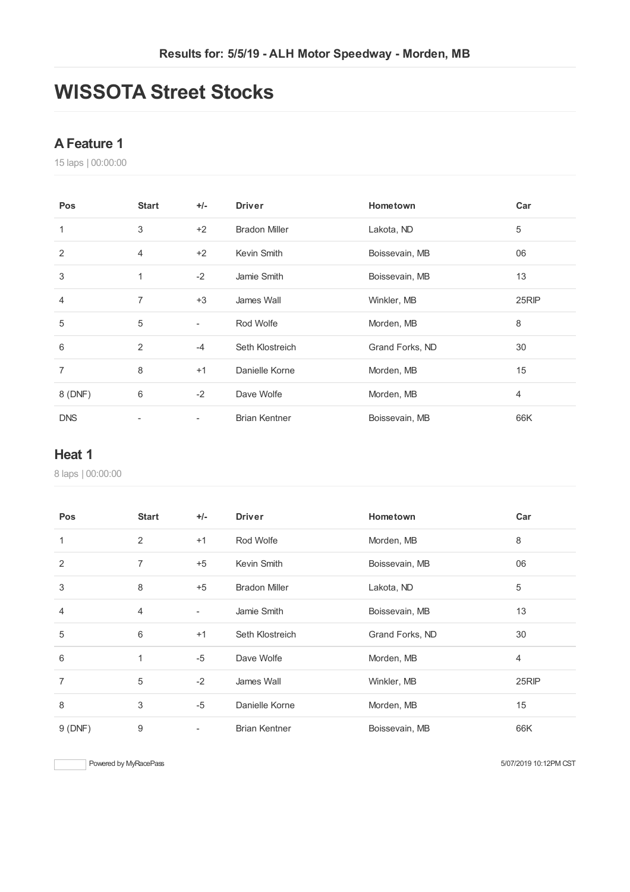# **WISSOTA Street Stocks**

## **AFeature 1**

laps | 00:00:00

| Pos            | <b>Start</b>   | $+/-$                    | <b>Driver</b>        | Hometown        | Car   |
|----------------|----------------|--------------------------|----------------------|-----------------|-------|
| 1              | 3              | $+2$                     | <b>Bradon Miller</b> | Lakota, ND      | 5     |
| 2              | $\overline{4}$ | $+2$                     | Kevin Smith          | Boissevain, MB  | 06    |
| 3              | 1              | $-2$                     | Jamie Smith          | Boissevain, MB  | 13    |
| $\overline{4}$ | 7              | $+3$                     | James Wall           | Winkler, MB     | 25RIP |
| 5              | 5              | ٠                        | Rod Wolfe            | Morden, MB      | 8     |
| 6              | 2              | $-4$                     | Seth Klostreich      | Grand Forks, ND | 30    |
| 7              | 8              | $+1$                     | Danielle Korne       | Morden, MB      | 15    |
| 8 (DNF)        | 6              | $-2$                     | Dave Wolfe           | Morden, MB      | 4     |
| <b>DNS</b>     | ٠              | $\overline{\phantom{a}}$ | <b>Brian Kentner</b> | Boissevain, MB  | 66K   |

#### **Heat 1**

laps | 00:00:00

| Pos            | <b>Start</b>   | $+/-$                    | <b>Driver</b>        | Hometown        | Car   |
|----------------|----------------|--------------------------|----------------------|-----------------|-------|
| $\mathbf{1}$   | $\overline{2}$ | $+1$                     | Rod Wolfe            | Morden, MB      | 8     |
| 2              | 7              | $+5$                     | Kevin Smith          | Boissevain, MB  | 06    |
| 3              | 8              | $+5$                     | <b>Bradon Miller</b> | Lakota, ND      | 5     |
| 4              | 4              | $\overline{\phantom{a}}$ | Jamie Smith          | Boissevain, MB  | 13    |
| 5              | 6              | $+1$                     | Seth Klostreich      | Grand Forks, ND | 30    |
| 6              | 1              | $-5$                     | Dave Wolfe           | Morden, MB      | 4     |
| $\overline{7}$ | 5              | $-2$                     | James Wall           | Winkler, MB     | 25RIP |
| 8              | 3              | $-5$                     | Danielle Korne       | Morden, MB      | 15    |
| 9(DNF)         | 9              | ۰                        | <b>Brian Kentner</b> | Boissevain, MB  | 66K   |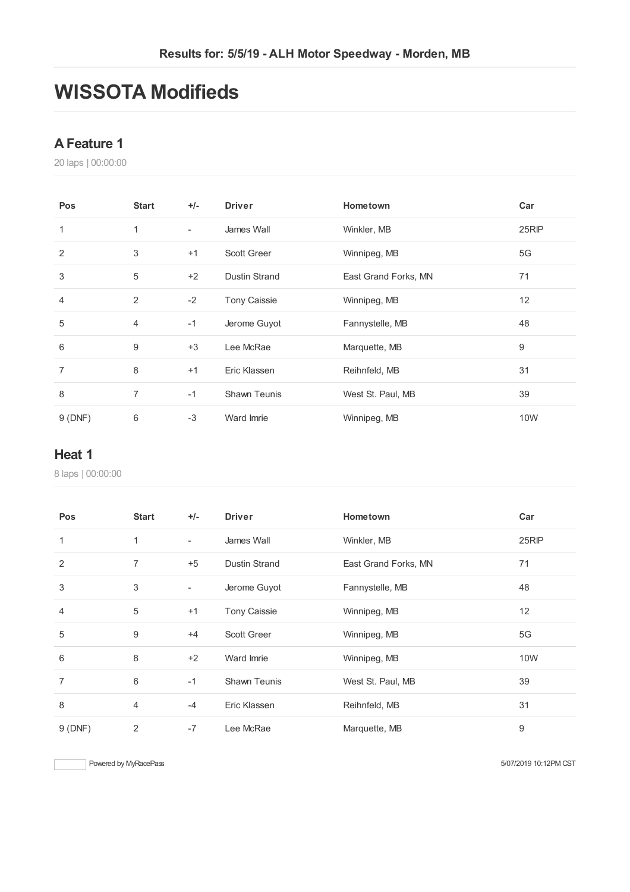# **WISSOTA Modifieds**

## **AFeature 1**

laps | 00:00:00

| Pos            | <b>Start</b>   | $+/-$                    | <b>Driver</b>        | Hometown             | Car             |
|----------------|----------------|--------------------------|----------------------|----------------------|-----------------|
| 1              | 1              | $\overline{\phantom{a}}$ | James Wall           | Winkler, MB          | 25RIP           |
| 2              | 3              | $+1$                     | <b>Scott Greer</b>   | Winnipeg, MB         | 5G              |
| 3              | 5              | $+2$                     | <b>Dustin Strand</b> | East Grand Forks, MN | 71              |
| $\overline{4}$ | 2              | $-2$                     | <b>Tony Caissie</b>  | Winnipeg, MB         | 12 <sup>2</sup> |
| 5              | $\overline{4}$ | $-1$                     | Jerome Guyot         | Fannystelle, MB      | 48              |
| 6              | 9              | $+3$                     | Lee McRae            | Marquette, MB        | 9               |
| 7              | 8              | $+1$                     | Eric Klassen         | Reihnfeld, MB        | 31              |
| 8              | 7              | $-1$                     | <b>Shawn Teunis</b>  | West St. Paul, MB    | 39              |
| 9(DNF)         | 6              | $-3$                     | Ward Imrie           | Winnipeg, MB         | <b>10W</b>      |

#### **Heat 1**

laps | 00:00:00

| Pos            | <b>Start</b>   | $+/-$                    | <b>Driver</b>       | Hometown             | Car   |
|----------------|----------------|--------------------------|---------------------|----------------------|-------|
| $\mathbf{1}$   | 1              | $\overline{\phantom{a}}$ | James Wall          | Winkler, MB          | 25RIP |
| 2              | $\overline{7}$ | $+5$                     | Dustin Strand       | East Grand Forks, MN | 71    |
| 3              | 3              | $\overline{\phantom{a}}$ | Jerome Guyot        | Fannystelle, MB      | 48    |
| $\overline{4}$ | 5              | $+1$                     | <b>Tony Caissie</b> | Winnipeg, MB         | 12    |
| 5              | 9              | $+4$                     | <b>Scott Greer</b>  | Winnipeg, MB         | 5G    |
| 6              | 8              | $+2$                     | Ward Imrie          | Winnipeg, MB         | 10W   |
| $\overline{7}$ | 6              | $-1$                     | <b>Shawn Teunis</b> | West St. Paul, MB    | 39    |
| 8              | $\overline{4}$ | $-4$                     | Eric Klassen        | Reihnfeld, MB        | 31    |
| 9(DNF)         | 2              | $-7$                     | Lee McRae           | Marquette, MB        | 9     |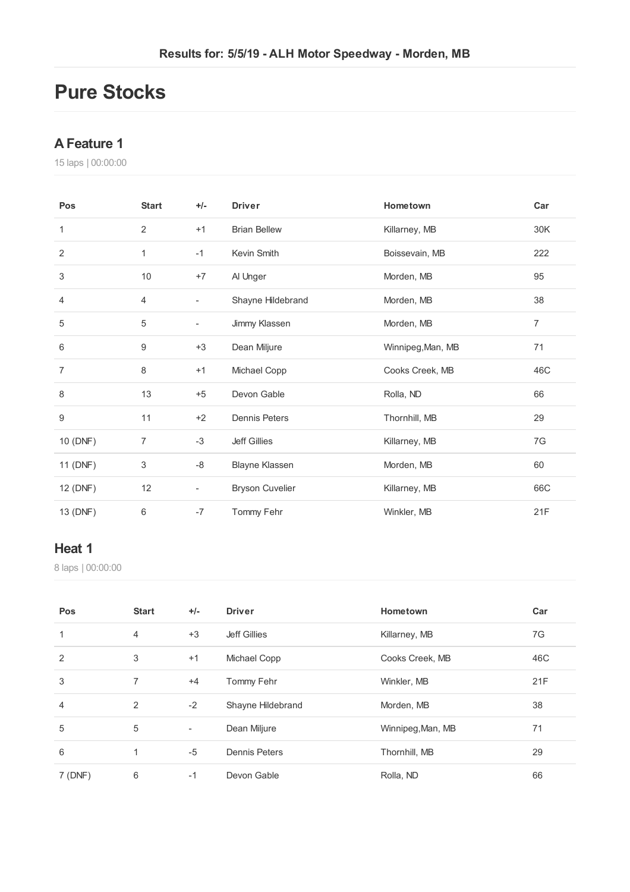# **Pure Stocks**

### **AFeature 1**

laps | 00:00:00

| Pos            | <b>Start</b>   | $+/-$                    | <b>Driver</b>          | Hometown          | Car |
|----------------|----------------|--------------------------|------------------------|-------------------|-----|
| 1              | 2              | $+1$                     | <b>Brian Bellew</b>    | Killarney, MB     | 30K |
| $\overline{2}$ | 1              | $-1$                     | Kevin Smith            | Boissevain, MB    | 222 |
| 3              | 10             | $+7$                     | Al Unger               | Morden, MB        | 95  |
| 4              | 4              | $\overline{\phantom{a}}$ | Shayne Hildebrand      | Morden, MB        | 38  |
| 5              | $\sqrt{5}$     | $\overline{\phantom{a}}$ | Jimmy Klassen          | Morden, MB        | 7   |
| 6              | 9              | $+3$                     | Dean Miljure           | Winnipeg, Man, MB | 71  |
| $\overline{7}$ | 8              | $+1$                     | Michael Copp           | Cooks Creek, MB   | 46C |
| 8              | 13             | $+5$                     | Devon Gable            | Rolla, ND         | 66  |
| 9              | 11             | $+2$                     | <b>Dennis Peters</b>   | Thornhill, MB     | 29  |
| 10 (DNF)       | $\overline{7}$ | $-3$                     | <b>Jeff Gillies</b>    | Killarney, MB     | 7G  |
| 11 (DNF)       | $\,3$          | -8                       | <b>Blayne Klassen</b>  | Morden, MB        | 60  |
| 12 (DNF)       | 12             | $\overline{\phantom{a}}$ | <b>Bryson Cuvelier</b> | Killarney, MB     | 66C |
| 13 (DNF)       | 6              | $-7$                     | Tommy Fehr             | Winkler, MB       | 21F |

#### **Heat 1**

laps | 00:00:00

| Pos     | <b>Start</b>   | $+/-$                    | <b>Driver</b>       | Hometown          | Car |
|---------|----------------|--------------------------|---------------------|-------------------|-----|
|         | $\overline{4}$ | $+3$                     | <b>Jeff Gillies</b> | Killarney, MB     | 7G  |
| 2       | 3              | $+1$                     | Michael Copp        | Cooks Creek, MB   | 46C |
| 3       | 7              | $+4$                     | Tommy Fehr          | Winkler, MB       | 21F |
| 4       | 2              | $-2$                     | Shayne Hildebrand   | Morden, MB        | 38  |
| 5       | 5              | $\overline{\phantom{a}}$ | Dean Miljure        | Winnipeg, Man, MB | 71  |
| 6       | 1              | $-5$                     | Dennis Peters       | Thornhill, MB     | 29  |
| 7 (DNF) | 6              | $-1$                     | Devon Gable         | Rolla, ND         | 66  |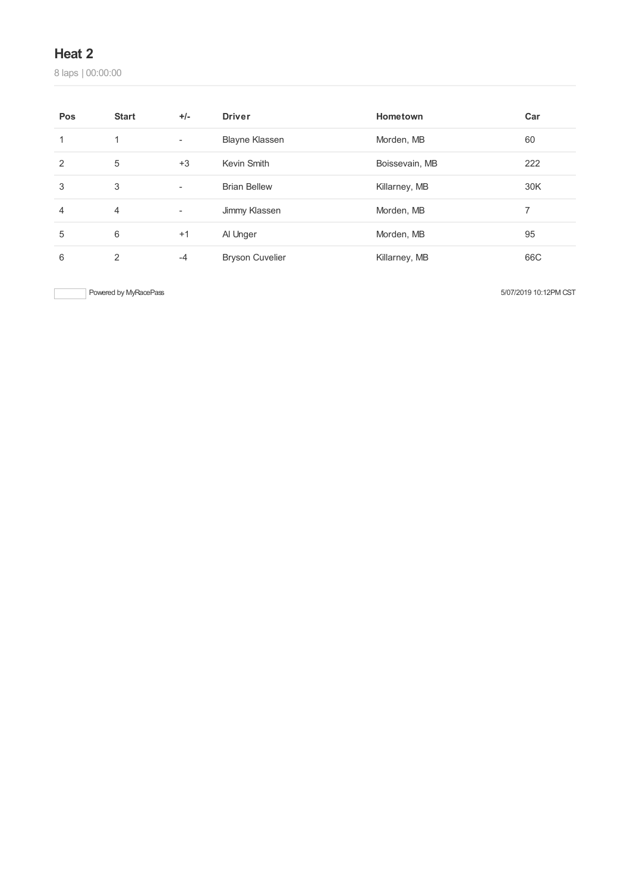# **Heat 2**

laps | 00:00:00

| Pos           | <b>Start</b>   | $+/-$                    | <b>Driver</b>          | Hometown       | Car |
|---------------|----------------|--------------------------|------------------------|----------------|-----|
| 1             | $\mathbf{1}$   | $\overline{\phantom{a}}$ | <b>Blayne Klassen</b>  | Morden, MB     | 60  |
| $\mathcal{P}$ | 5              | $+3$                     | Kevin Smith            | Boissevain, MB | 222 |
| 3             | 3              | $\overline{\phantom{a}}$ | <b>Brian Bellew</b>    | Killarney, MB  | 30K |
| 4             | $\overline{4}$ | ۰                        | Jimmy Klassen          | Morden, MB     | 7   |
| 5             | 6              | $+1$                     | Al Unger               | Morden, MB     | 95  |
| 6             | 2              | $-4$                     | <b>Bryson Cuvelier</b> | Killarney, MB  | 66C |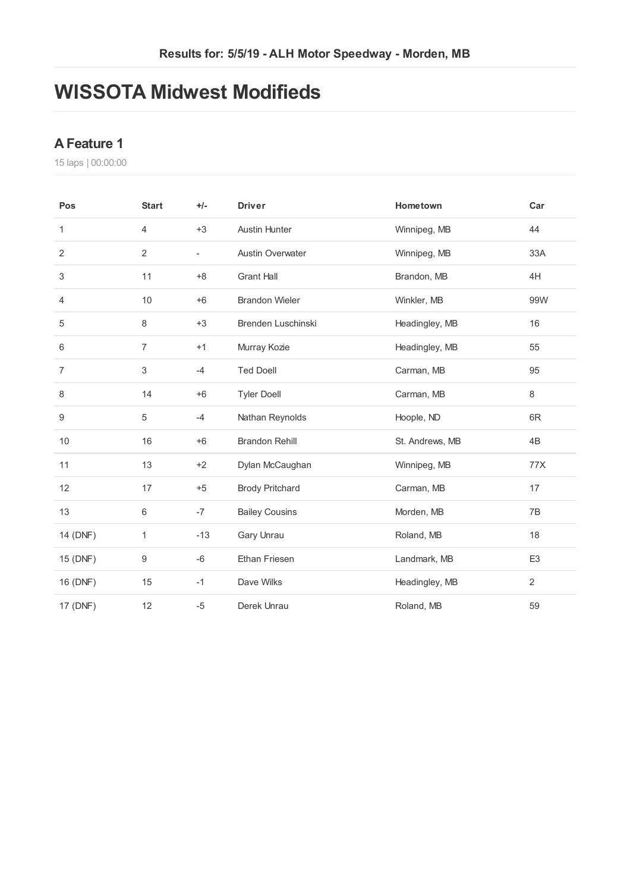# **WISSOTA Midwest Modifieds**

## **AFeature 1**

laps | 00:00:00

| Pos            | <b>Start</b>   | $+/-$                    | <b>Driver</b>           | Hometown        | Car            |
|----------------|----------------|--------------------------|-------------------------|-----------------|----------------|
| 1              | $\overline{4}$ | $+3$                     | <b>Austin Hunter</b>    | Winnipeg, MB    | 44             |
| $\overline{2}$ | 2              | $\overline{\phantom{a}}$ | <b>Austin Overwater</b> | Winnipeg, MB    | 33A            |
| 3              | 11             | $+8$                     | <b>Grant Hall</b>       | Brandon, MB     | 4H             |
| 4              | 10             | $+6$                     | <b>Brandon Wieler</b>   | Winkler, MB     | 99W            |
| 5              | 8              | $+3$                     | Brenden Luschinski      | Headingley, MB  | 16             |
| 6              | $\overline{7}$ | $+1$                     | Murray Kozie            | Headingley, MB  | 55             |
| $\overline{7}$ | 3              | $-4$                     | <b>Ted Doell</b>        | Carman, MB      | 95             |
| 8              | 14             | $+6$                     | <b>Tyler Doell</b>      | Carman, MB      | 8              |
| 9              | 5              | $-4$                     | Nathan Reynolds         | Hoople, ND      | 6R             |
| 10             | 16             | $+6$                     | <b>Brandon Rehill</b>   | St. Andrews, MB | 4B             |
| 11             | 13             | $+2$                     | Dylan McCaughan         | Winnipeg, MB    | 77X            |
| 12             | 17             | $+5$                     | <b>Brody Pritchard</b>  | Carman, MB      | 17             |
| 13             | 6              | $-7$                     | <b>Bailey Cousins</b>   | Morden, MB      | 7B             |
| 14 (DNF)       | 1              | $-13$                    | Gary Unrau              | Roland, MB      | 18             |
| 15 (DNF)       | 9              | $-6$                     | Ethan Friesen           | Landmark, MB    | E <sub>3</sub> |
| 16 (DNF)       | 15             | $-1$                     | Dave Wilks              | Headingley, MB  | $\overline{2}$ |
| 17 (DNF)       | 12             | $-5$                     | Derek Unrau             | Roland, MB      | 59             |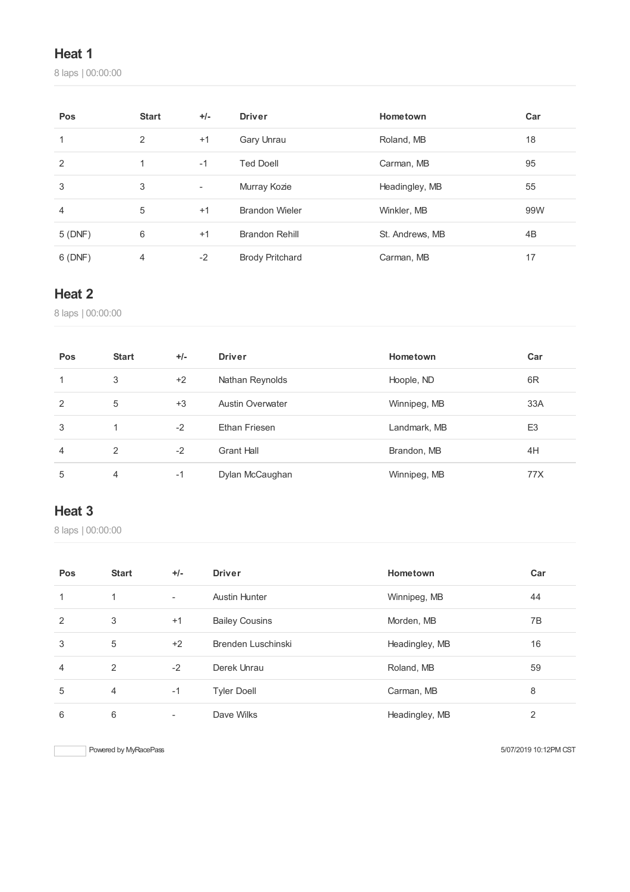# **Heat 1**

laps | 00:00:00

| Pos    | <b>Start</b> | $+/-$                    | <b>Driver</b>          | Hometown        | Car |
|--------|--------------|--------------------------|------------------------|-----------------|-----|
| 1      | 2            | $+1$                     | Gary Unrau             | Roland, MB      | 18  |
| 2      | 1            | $-1$                     | <b>Ted Doell</b>       | Carman, MB      | 95  |
| 3      | 3            | $\overline{\phantom{a}}$ | Murray Kozie           | Headingley, MB  | 55  |
| 4      | 5            | $+1$                     | <b>Brandon Wieler</b>  | Winkler, MB     | 99W |
| 5(DNF) | 6            | $+1$                     | <b>Brandon Rehill</b>  | St. Andrews, MB | 4B  |
| 6(DNF) | 4            | $-2$                     | <b>Brody Pritchard</b> | Carman, MB      | 17  |

# **Heat 2**

laps | 00:00:00

| Pos | <b>Start</b> | $+/-$ | <b>Driver</b>           | Hometown     | Car            |
|-----|--------------|-------|-------------------------|--------------|----------------|
| 1   | 3            | $+2$  | Nathan Reynolds         | Hoople, ND   | 6R             |
| 2   | 5            | $+3$  | <b>Austin Overwater</b> | Winnipeg, MB | 33A            |
| 3   |              | $-2$  | Ethan Friesen           | Landmark, MB | E <sub>3</sub> |
| 4   | 2            | $-2$  | <b>Grant Hall</b>       | Brandon, MB  | 4H             |
| 5   | 4            | -1    | Dylan McCaughan         | Winnipeg, MB | 77X            |

# **Heat 3**

laps | 00:00:00

| Pos | <b>Start</b>   | $+/-$ | <b>Driver</b>         | Hometown       | Car |
|-----|----------------|-------|-----------------------|----------------|-----|
|     | 1              | ٠     | <b>Austin Hunter</b>  | Winnipeg, MB   | 44  |
| 2   | 3              | $+1$  | <b>Bailey Cousins</b> | Morden, MB     | 7B  |
| 3   | 5              | $+2$  | Brenden Luschinski    | Headingley, MB | 16  |
| 4   | 2              | $-2$  | Derek Unrau           | Roland, MB     | 59  |
| 5   | $\overline{4}$ | $-1$  | <b>Tyler Doell</b>    | Carman, MB     | 8   |
| 6   | 6              |       | Dave Wilks            | Headingley, MB | 2   |

Powered by MyRacePass **Figure 2018 Powered by MyRacePass** 5/07/2019 10:12PM CST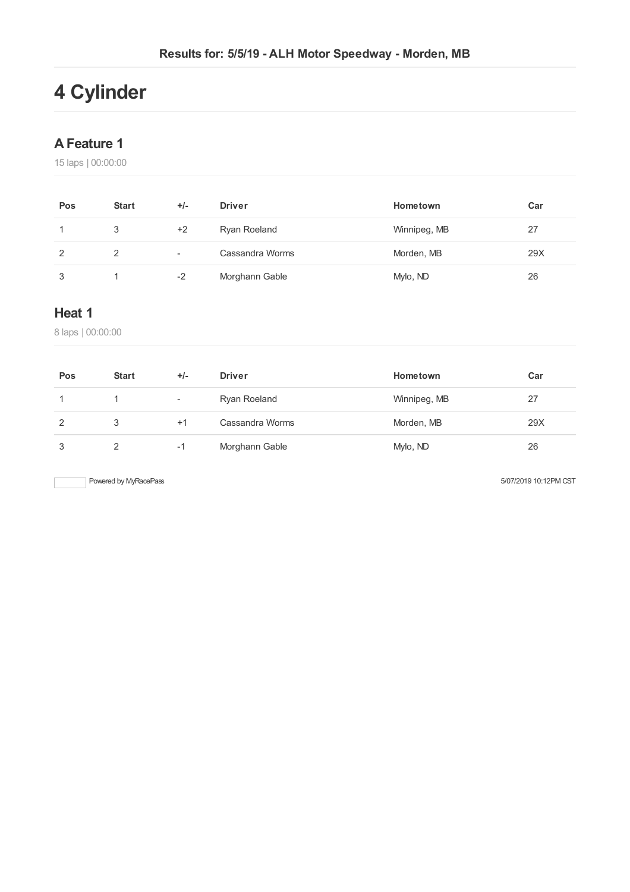# **4 Cylinder**

# **AFeature 1**

15 laps | 00:00:00

| Pos | <b>Start</b> | $+/-$                    | <b>Driver</b>   | Hometown     | Car |
|-----|--------------|--------------------------|-----------------|--------------|-----|
|     | 3            | +2                       | Ryan Roeland    | Winnipeg, MB | 27  |
| 2   |              | $\overline{\phantom{0}}$ | Cassandra Worms | Morden, MB   | 29X |
| 3   |              | $-2$                     | Morghann Gable  | Mylo, ND     | 26  |

## **Heat 1**

8 laps | 00:00:00

| Pos | <b>Start</b>  | $+/-$  | <b>Driver</b>   | Hometown     | Car |
|-----|---------------|--------|-----------------|--------------|-----|
|     |               | $\sim$ | Ryan Roeland    | Winnipeg, MB | 27  |
| 2   | 3             | $+1$   | Cassandra Worms | Morden, MB   | 29X |
| 3   | $\mathcal{P}$ | -1     | Morghann Gable  | Mylo, ND     | 26  |

Powered by MyRacePass 600 and the state of the state of the S/07/2019 10:12PM CST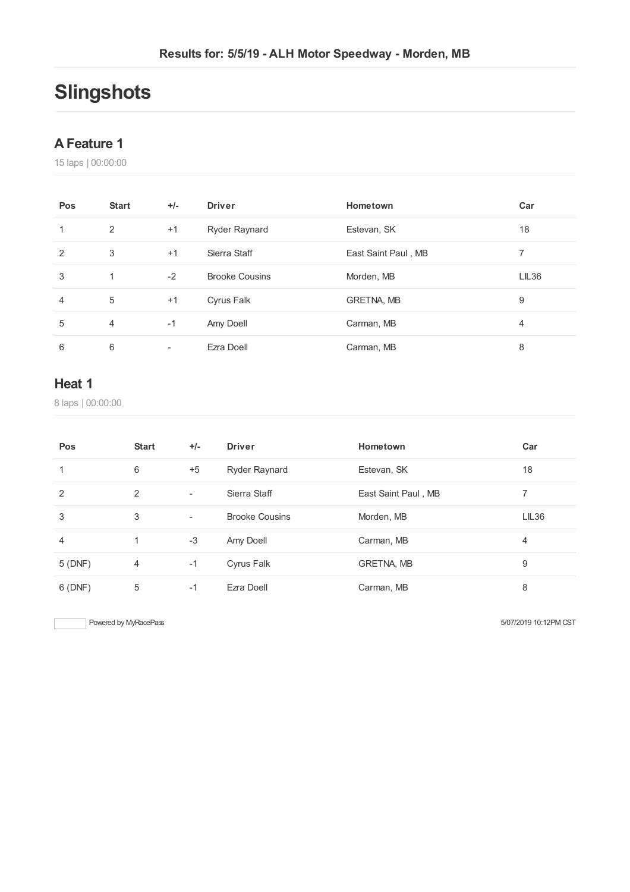# **Slingshots**

### **AFeature 1**

laps | 00:00:00

| Pos | <b>Start</b>   | $+/-$ | <b>Driver</b>         | Hometown            | Car   |
|-----|----------------|-------|-----------------------|---------------------|-------|
|     | 2              | $+1$  | Ryder Raynard         | Estevan, SK         | 18    |
| 2   | 3              | $+1$  | Sierra Staff          | East Saint Paul, MB |       |
| 3   | 1              | $-2$  | <b>Brooke Cousins</b> | Morden, MB          | LIL36 |
| 4   | 5              | $+1$  | Cyrus Falk            | <b>GRETNA, MB</b>   | 9     |
| 5   | $\overline{4}$ | $-1$  | Amy Doell             | Carman, MB          | 4     |
| 6   | 6              | ۰     | Ezra Doell            | Carman, MB          | 8     |

## **Heat 1**

laps | 00:00:00

| Pos            | <b>Start</b>   | $+/-$                    | <b>Driver</b>         | Hometown            | Car   |
|----------------|----------------|--------------------------|-----------------------|---------------------|-------|
| 1              | 6              | $+5$                     | Ryder Raynard         | Estevan, SK         | 18    |
| 2              | 2              | $\overline{\phantom{a}}$ | Sierra Staff          | East Saint Paul, MB | 7     |
| 3              | 3              | $\overline{\phantom{a}}$ | <b>Brooke Cousins</b> | Morden, MB          | LIL36 |
| $\overline{4}$ |                | $-3$                     | Amy Doell             | Carman, MB          | 4     |
| 5(DNF)         | $\overline{4}$ | $-1$                     | Cyrus Falk            | <b>GRETNA, MB</b>   | 9     |
| 6(DNF)         | 5              | $-1$                     | Ezra Doell            | Carman, MB          | 8     |

Powered by MyRacePass 600 and the state of the state of the state of the SV07/2019 10:12PM CST